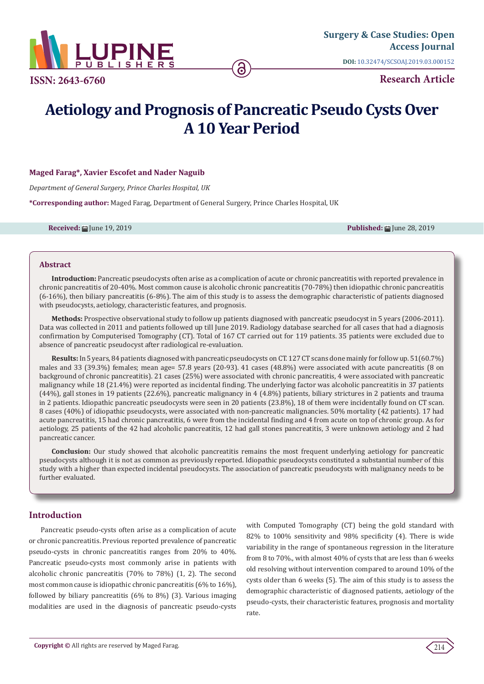

**ISSN: 2643-6760**

**Research Article**

# **Aetiology and Prognosis of Pancreatic Pseudo Cysts Over A 10 Year Period**

# **Maged Farag\*, Xavier Escofet and Nader Naguib**

*Department of General Surgery, Prince Charles Hospital, UK*

**\*Corresponding author:** Maged Farag, Department of General Surgery, Prince Charles Hospital, UK

**Received:** June 19, 2019 **Published:** June 28, 2019

### **Abstract**

**Introduction:** Pancreatic pseudocysts often arise as a complication of acute or chronic pancreatitis with reported prevalence in chronic pancreatitis of 20-40%. Most common cause is alcoholic chronic pancreatitis (70-78%) then idiopathic chronic pancreatitis (6-16%), then biliary pancreatitis (6-8%). The aim of this study is to assess the demographic characteristic of patients diagnosed with pseudocysts, aetiology, characteristic features, and prognosis.

**Methods:** Prospective observational study to follow up patients diagnosed with pancreatic pseudocyst in 5 years (2006-2011). Data was collected in 2011 and patients followed up till June 2019. Radiology database searched for all cases that had a diagnosis confirmation by Computerised Tomography (CT). Total of 167 CT carried out for 119 patients. 35 patients were excluded due to absence of pancreatic pseudocyst after radiological re-evaluation.

**Results:** In 5 years, 84 patients diagnosed with pancreatic pseudocysts on CT. 127 CT scans done mainly for follow up. 51(60.7%) males and 33 (39.3%) females; mean age= 57.8 years (20-93). 41 cases (48.8%) were associated with acute pancreatitis (8 on background of chronic pancreatitis). 21 cases (25%) were associated with chronic pancreatitis, 4 were associated with pancreatic malignancy while 18 (21.4%) were reported as incidental finding. The underlying factor was alcoholic pancreatitis in 37 patients (44%), gall stones in 19 patients (22.6%), pancreatic malignancy in 4 (4.8%) patients, biliary strictures in 2 patients and trauma in 2 patients. Idiopathic pancreatic pseudocysts were seen in 20 patients (23.8%), 18 of them were incidentally found on CT scan. 8 cases (40%) of idiopathic pseudocysts, were associated with non-pancreatic malignancies. 50% mortality (42 patients). 17 had acute pancreatitis, 15 had chronic pancreatitis, 6 were from the incidental finding and 4 from acute on top of chronic group. As for aetiology, 25 patients of the 42 had alcoholic pancreatitis, 12 had gall stones pancreatitis, 3 were unknown aetiology and 2 had pancreatic cancer.

**Conclusion:** Our study showed that alcoholic pancreatitis remains the most frequent underlying aetiology for pancreatic pseudocysts although it is not as common as previously reported. Idiopathic pseudocysts constituted a substantial number of this study with a higher than expected incidental pseudocysts. The association of pancreatic pseudocysts with malignancy needs to be further evaluated.

# **Introduction**

Pancreatic pseudo-cysts often arise as a complication of acute or chronic pancreatitis. Previous reported prevalence of pancreatic pseudo-cysts in chronic pancreatitis ranges from 20% to 40%. Pancreatic pseudo-cysts most commonly arise in patients with alcoholic chronic pancreatitis (70% to 78%) (1, 2). The second most common cause is idiopathic chronic pancreatitis (6% to 16%), followed by biliary pancreatitis (6% to 8%) (3). Various imaging modalities are used in the diagnosis of pancreatic pseudo-cysts

with Computed Tomography (CT) being the gold standard with 82% to 100% sensitivity and 98% specificity (4). There is wide variability in the range of spontaneous regression in the literature from 8 to 70%., with almost 40% of cysts that are less than 6 weeks old resolving without intervention compared to around 10% of the cysts older than 6 weeks (5). The aim of this study is to assess the demographic characteristic of diagnosed patients, aetiology of the pseudo-cysts, their characteristic features, prognosis and mortality rate.

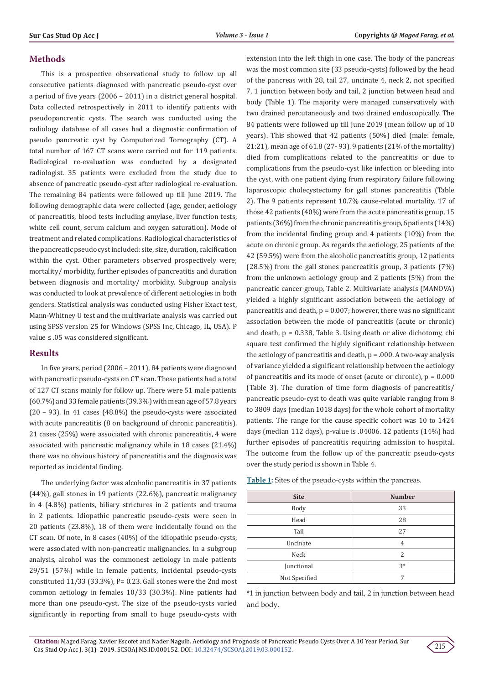# **Methods**

This is a prospective observational study to follow up all consecutive patients diagnosed with pancreatic pseudo-cyst over a period of five years (2006 – 2011) in a district general hospital. Data collected retrospectively in 2011 to identify patients with pseudopancreatic cysts. The search was conducted using the radiology database of all cases had a diagnostic confirmation of pseudo pancreatic cyst by Computerized Tomography (CT). A total number of 167 CT scans were carried out for 119 patients. Radiological re-evaluation was conducted by a designated radiologist. 35 patients were excluded from the study due to absence of pancreatic pseudo-cyst after radiological re-evaluation. The remaining 84 patients were followed up till June 2019. The following demographic data were collected (age, gender, aetiology of pancreatitis, blood tests including amylase, liver function tests, white cell count, serum calcium and oxygen saturation). Mode of treatment and related complications. Radiological characteristics of the pancreatic pseudo cyst included: site, size, duration, calcification within the cyst. Other parameters observed prospectively were; mortality/ morbidity, further episodes of pancreatitis and duration between diagnosis and mortality/ morbidity. Subgroup analysis was conducted to look at prevalence of different aetiologies in both genders. Statistical analysis was conducted using Fisher Exact test, Mann-Whitney U test and the multivariate analysis was carried out using SPSS version 25 for Windows (SPSS Inc, Chicago, IL, USA). P value ≤ .05 was considered significant.

## **Results**

In five years, period (2006 – 2011), 84 patients were diagnosed with pancreatic pseudo-cysts on CT scan. These patients had a total of 127 CT scans mainly for follow up. There were 51 male patients (60.7%) and 33 female patients (39.3%) with mean age of 57.8 years (20 – 93). In 41 cases (48.8%) the pseudo-cysts were associated with acute pancreatitis (8 on background of chronic pancreatitis). 21 cases (25%) were associated with chronic pancreatitis, 4 were associated with pancreatic malignancy while in 18 cases (21.4%) there was no obvious history of pancreatitis and the diagnosis was reported as incidental finding.

The underlying factor was alcoholic pancreatitis in 37 patients (44%), gall stones in 19 patients (22.6%), pancreatic malignancy in 4 (4.8%) patients, biliary strictures in 2 patients and trauma in 2 patients. Idiopathic pancreatic pseudo-cysts were seen in 20 patients (23.8%), 18 of them were incidentally found on the CT scan. Of note, in 8 cases (40%) of the idiopathic pseudo-cysts, were associated with non-pancreatic malignancies. In a subgroup analysis, alcohol was the commonest aetiology in male patients 29/51 (57%) while in female patients, incidental pseudo-cysts constituted 11/33 (33.3%), P= 0.23. Gall stones were the 2nd most common aetiology in females 10/33 (30.3%). Nine patients had more than one pseudo-cyst. The size of the pseudo-cysts varied significantly in reporting from small to huge pseudo-cysts with

extension into the left thigh in one case. The body of the pancreas was the most common site (33 pseudo-cysts) followed by the head of the pancreas with 28, tail 27, uncinate 4, neck 2, not specified 7, 1 junction between body and tail, 2 junction between head and body (Table 1). The majority were managed conservatively with two drained percutaneously and two drained endoscopically. The 84 patients were followed up till June 2019 (mean follow up of 10 years). This showed that 42 patients (50%) died (male: female, 21:21), mean age of 61.8 (27- 93). 9 patients (21% of the mortality) died from complications related to the pancreatitis or due to complications from the pseudo-cyst like infection or bleeding into the cyst, with one patient dying from respiratory failure following laparoscopic cholecystectomy for gall stones pancreatitis (Table 2). The 9 patients represent 10.7% cause-related mortality. 17 of those 42 patients (40%) were from the acute pancreatitis group, 15 patients (36%) from the chronic pancreatitis group, 6 patients (14%) from the incidental finding group and 4 patients (10%) from the acute on chronic group. As regards the aetiology, 25 patients of the 42 (59.5%) were from the alcoholic pancreatitis group, 12 patients (28.5%) from the gall stones pancreatitis group, 3 patients (7%) from the unknown aetiology group and 2 patients (5%) from the pancreatic cancer group, Table 2. Multivariate analysis (MANOVA) yielded a highly significant association between the aetiology of pancreatitis and death,  $p = 0.007$ ; however, there was no significant association between the mode of pancreatitis (acute or chronic) and death,  $p = 0.338$ , Table 3. Using death or alive dichotomy, chi square test confirmed the highly significant relationship between the aetiology of pancreatitis and death,  $p = .000$ . A two-way analysis of variance yielded a significant relationship between the aetiology of pancreatitis and its mode of onset (acute or chronic),  $p = 0.000$ (Table 3). The duration of time form diagnosis of pancreatitis/ pancreatic pseudo-cyst to death was quite variable ranging from 8 to 3809 days (median 1018 days) for the whole cohort of mortality patients. The range for the cause specific cohort was 10 to 1424 days (median 112 days), p-value is .04006. 12 patients (14%) had further episodes of pancreatitis requiring admission to hospital. The outcome from the follow up of the pancreatic pseudo-cysts over the study period is shown in Table 4.

| <b>Site</b>   | <b>Number</b>  |
|---------------|----------------|
| Body          | 33             |
| Head          | 28             |
| Tail          | 27             |
| Uncinate      | $\overline{4}$ |
| Neck          | 2              |
| Junctional    | $3*$           |
| Not Specified | 7              |

**Table 1:** Sites of the pseudo-cysts within the pancreas.

\*1 in junction between body and tail, 2 in junction between head and body.

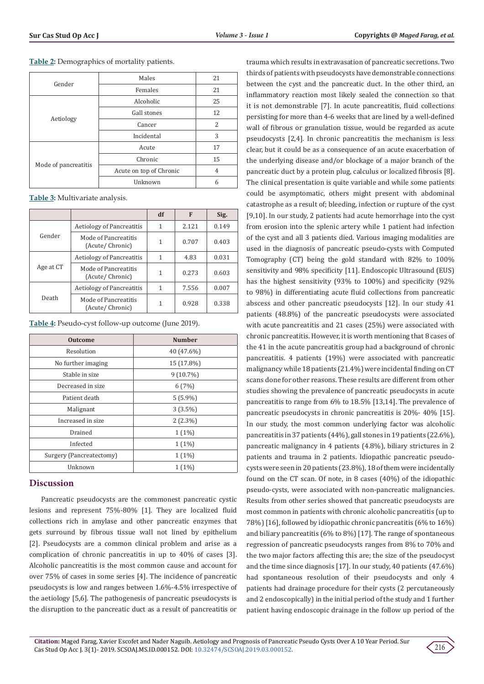**Table 2:** Demographics of mortality patients.

| Gender               | Males                   | 21 |
|----------------------|-------------------------|----|
|                      | Females                 | 21 |
| Aetiology            | Alcoholic               | 25 |
|                      | Gall stones             | 12 |
|                      | Cancer                  | 2  |
|                      | Incidental              | 3  |
| Mode of pancreatitis | Acute                   | 17 |
|                      | Chronic                 | 15 |
|                      | Acute on top of Chronic | 4  |
|                      | Unknown                 | 6  |

**Table 3:** Multivariate analysis.

|           |                                         | df | F     | Sig.  |
|-----------|-----------------------------------------|----|-------|-------|
| Gender    | <b>Aetiology of Pancreatitis</b>        | 1  | 2.121 | 0.149 |
|           | Mode of Pancreatitis<br>(Acute/Chronic) | 1  | 0.707 | 0.403 |
| Age at CT | <b>Aetiology of Pancreatitis</b>        | 1  | 4.83  | 0.031 |
|           | Mode of Pancreatitis<br>(Acute/Chronic) | 1  | 0.273 | 0.603 |
| Death     | <b>Aetiology of Pancreatitis</b>        | 1  | 7.556 | 0.007 |
|           | Mode of Pancreatitis<br>(Acute/Chronic) | 1  | 0.928 | 0.338 |

**Table 4:** Pseudo-cyst follow-up outcome (June 2019).

| <b>Outcome</b>           | <b>Number</b> |  |
|--------------------------|---------------|--|
| Resolution               | 40 (47.6%)    |  |
| No further imaging       | 15 (17.8%)    |  |
| Stable in size           | $9(10.7\%)$   |  |
| Decreased in size        | 6(7%)         |  |
| Patient death            | $5(5.9\%)$    |  |
| Malignant                | $3(3.5\%)$    |  |
| Increased in size        | $2(2.3\%)$    |  |
| Drained                  | $1(1\%)$      |  |
| Infected                 | $1(1\%)$      |  |
| Surgery (Pancreatectomy) | $1(1\%)$      |  |
| Unknown                  | $1(1\%)$      |  |

# **Discussion**

Pancreatic pseudocysts are the commonest pancreatic cystic lesions and represent 75%-80% [1]. They are localized fluid collections rich in amylase and other pancreatic enzymes that gets surround by fibrous tissue wall not lined by epithelium [2]. Pseudocysts are a common clinical problem and arise as a complication of chronic pancreatitis in up to 40% of cases [3]. Alcoholic pancreatitis is the most common cause and account for over 75% of cases in some series [4]. The incidence of pancreatic pseudocysts is low and ranges between 1.6%-4.5% irrespective of the aetiology [5,6]. The pathogenesis of pancreatic pseudocysts is the disruption to the pancreatic duct as a result of pancreatitis or

trauma which results in extravasation of pancreatic secretions. Two thirds of patients with pseudocysts have demonstrable connections between the cyst and the pancreatic duct. In the other third, an inflammatory reaction most likely sealed the connection so that it is not demonstrable [7]. In acute pancreatitis, fluid collections persisting for more than 4-6 weeks that are lined by a well-defined wall of fibrous or granulation tissue, would be regarded as acute pseudocysts [2,4]. In chronic pancreatitis the mechanism is less clear, but it could be as a consequence of an acute exacerbation of the underlying disease and/or blockage of a major branch of the pancreatic duct by a protein plug, calculus or localized fibrosis [8]. The clinical presentation is quite variable and while some patients could be asymptomatic, others might present with abdominal catastrophe as a result of; bleeding, infection or rupture of the cyst [9,10]. In our study, 2 patients had acute hemorrhage into the cyst from erosion into the splenic artery while 1 patient had infection of the cyst and all 3 patients died. Various imaging modalities are used in the diagnosis of pancreatic pseudo-cysts with Computed Tomography (CT) being the gold standard with 82% to 100% sensitivity and 98% specificity [11]. Endoscopic Ultrasound (EUS) has the highest sensitivity (93% to 100%) and specificity (92% to 98%) in differentiating acute fluid collections from pancreatic abscess and other pancreatic pseudocysts [12]. In our study 41 patients (48.8%) of the pancreatic pseudocysts were associated with acute pancreatitis and 21 cases (25%) were associated with chronic pancreatitis. However, it is worth mentioning that 8 cases of the 41 in the acute pancreatitis group had a background of chronic pancreatitis. 4 patients (19%) were associated with pancreatic malignancy while 18 patients (21.4%) were incidental finding on CT scans done for other reasons. These results are different from other studies showing the prevalence of pancreatic pseudocysts in acute pancreatitis to range from 6% to 18.5% [13,14]. The prevalence of pancreatic pseudocysts in chronic pancreatitis is 20%- 40% [15]. In our study, the most common underlying factor was alcoholic pancreatitis in 37 patients (44%), gall stones in 19 patients (22.6%), pancreatic malignancy in 4 patients (4.8%), biliary strictures in 2 patients and trauma in 2 patients. Idiopathic pancreatic pseudocysts were seen in 20 patients (23.8%), 18 of them were incidentally found on the CT scan. Of note, in 8 cases (40%) of the idiopathic pseudo-cysts, were associated with non-pancreatic malignancies. Results from other series showed that pancreatic pseudocysts are most common in patients with chronic alcoholic pancreatitis (up to 78%) [16], followed by idiopathic chronic pancreatitis (6% to 16%) and biliary pancreatitis (6% to 8%) [17]. The range of spontaneous regression of pancreatic pseudocysts ranges from 8% to 70% and the two major factors affecting this are; the size of the pseudocyst and the time since diagnosis [17]. In our study, 40 patients (47.6%) had spontaneous resolution of their pseudocysts and only 4 patients had drainage procedure for their cysts (2 percutaneously and 2 endoscopically) in the initial period of the study and 1 further patient having endoscopic drainage in the follow up period of the

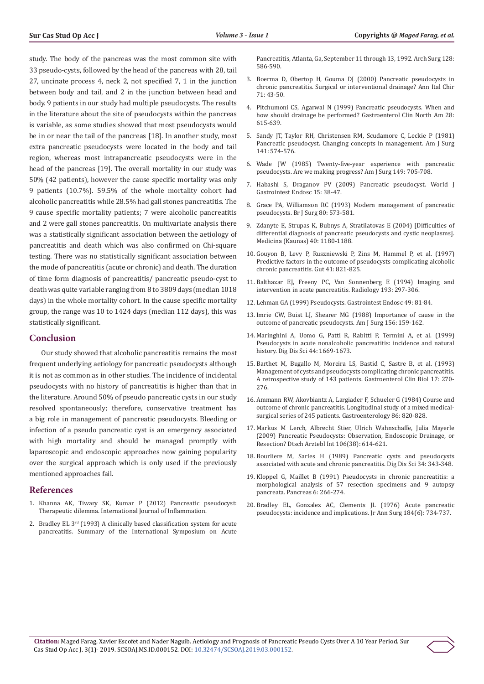study. The body of the pancreas was the most common site with 33 pseudo-cysts, followed by the head of the pancreas with 28, tail 27, uncinate process 4, neck 2, not specified 7, 1 in the junction between body and tail, and 2 in the junction between head and body. 9 patients in our study had multiple pseudocysts. The results in the literature about the site of pseudocysts within the pancreas is variable, as some studies showed that most pseudocysts would be in or near the tail of the pancreas [18]. In another study, most extra pancreatic pseudocysts were located in the body and tail region, whereas most intrapancreatic pseudocysts were in the head of the pancreas [19]. The overall mortality in our study was 50% (42 patients), however the cause specific mortality was only 9 patients (10.7%). 59.5% of the whole mortality cohort had alcoholic pancreatitis while 28.5% had gall stones pancreatitis. The 9 cause specific mortality patients; 7 were alcoholic pancreatitis and 2 were gall stones pancreatitis. On multivariate analysis there was a statistically significant association between the aetiology of pancreatitis and death which was also confirmed on Chi-square testing. There was no statistically significant association between the mode of pancreatitis (acute or chronic) and death. The duration of time form diagnosis of pancreatitis/ pancreatic pseudo-cyst to death was quite variable ranging from 8 to 3809 days (median 1018 days) in the whole mortality cohort. In the cause specific mortality group, the range was 10 to 1424 days (median 112 days), this was statistically significant.

#### **Conclusion**

Our study showed that alcoholic pancreatitis remains the most frequent underlying aetiology for pancreatic pseudocysts although it is not as common as in other studies. The incidence of incidental pseudocysts with no history of pancreatitis is higher than that in the literature. Around 50% of pseudo pancreatic cysts in our study resolved spontaneously; therefore, conservative treatment has a big role in management of pancreatic pseudocysts. Bleeding or infection of a pseudo pancreatic cyst is an emergency associated with high mortality and should be managed promptly with laparoscopic and endoscopic approaches now gaining popularity over the surgical approach which is only used if the previously mentioned approaches fail.

#### **References**

- 1. [Khanna AK, Tiwary SK, Kumar P \(2012\) Pancreatic pseudocyst:](https://www.hindawi.com/journals/iji/2012/279476/)  [Therapeutic dilemma. International Journal of Inflammation.](https://www.hindawi.com/journals/iji/2012/279476/)
- 2. Bradley EL  $3<sup>rd</sup>$  (1993) A clinically based classification system for acute [pancreatitis. Summary of the International Symposium on Acute](https://www.ncbi.nlm.nih.gov/pubmed/8489394)

[Pancreatitis, Atlanta, Ga, September 11 through 13, 1992. Arch Surg 128:](https://www.ncbi.nlm.nih.gov/pubmed/8489394) [586-590.](https://www.ncbi.nlm.nih.gov/pubmed/8489394)

- 3. [Boerma D, Obertop H, Gouma DJ \(2000\) Pancreatic pseudocysts in](https://www.ncbi.nlm.nih.gov/pubmed/10829523) [chronic pancreatitis. Surgical or interventional drainage? Ann Ital Chir](https://www.ncbi.nlm.nih.gov/pubmed/10829523) [71: 43-50.](https://www.ncbi.nlm.nih.gov/pubmed/10829523)
- 4. [Pitchumoni CS, Agarwal N \(1999\) Pancreatic pseudocysts. When and](https://www.ncbi.nlm.nih.gov/pubmed/10503140) [how should drainage be performed? Gastroenterol Clin North Am 28:](https://www.ncbi.nlm.nih.gov/pubmed/10503140) [615-639.](https://www.ncbi.nlm.nih.gov/pubmed/10503140)
- 5. [Sandy JT, Taylor RH, Christensen RM, Scudamore C, Leckie P \(1981\)](https://www.ncbi.nlm.nih.gov/pubmed/7223950) [Pancreatic pseudocyst. Changing concepts in management. Am J Surg](https://www.ncbi.nlm.nih.gov/pubmed/7223950) [141: 574-576.](https://www.ncbi.nlm.nih.gov/pubmed/7223950)
- 6. [Wade JW \(1985\) Twenty-five-year experience with pancreatic](https://www.ncbi.nlm.nih.gov/pubmed/3925799) [pseudocysts. Are we making progress? Am J Surg 149: 705-708.](https://www.ncbi.nlm.nih.gov/pubmed/3925799)
- 7. [Habashi S, Draganov PV \(2009\) Pancreatic pseudocyst. World J](https://www.ncbi.nlm.nih.gov/pmc/articles/PMC2653285/) [Gastrointest Endosc 15: 38-47.](https://www.ncbi.nlm.nih.gov/pmc/articles/PMC2653285/)
- 8. [Grace PA, Williamson RC \(1993\) Modern management of pancreatic](https://www.ncbi.nlm.nih.gov/pubmed/8518891) [pseudocysts. Br J Surg 80: 573-581.](https://www.ncbi.nlm.nih.gov/pubmed/8518891)
- 9. [Zdanyte E, Strupas K, Bubnys A, Stratilatovas E \(2004\) \[Difficulties of](https://www.ncbi.nlm.nih.gov/pubmed/15630345) [differential diagnosis of pancreatic pseudocysts and cystic neoplasms\].](https://www.ncbi.nlm.nih.gov/pubmed/15630345) [Medicina \(Kaunas\) 40: 1180-1188.](https://www.ncbi.nlm.nih.gov/pubmed/15630345)
- 10. [Gouyon B, Levy P, Ruszniewski P, Zins M, Hammel P, et al. \(1997\)](https://www.ncbi.nlm.nih.gov/pubmed/9462217) [Predictive factors in the outcome of pseudocysts complicating alcoholic](https://www.ncbi.nlm.nih.gov/pubmed/9462217) [chronic pancreatitis. Gut 41: 821-825.](https://www.ncbi.nlm.nih.gov/pubmed/9462217)
- 11. [Balthazar EJ, Freeny PC, Van Sonnenberg E \(1994\) Imaging and](https://www.ncbi.nlm.nih.gov/pubmed/7972730) [intervention in acute pancreatitis. Radiology 193: 297-306.](https://www.ncbi.nlm.nih.gov/pubmed/7972730)
- 12. [Lehman GA \(1999\) Pseudocysts. Gastrointest Endosc 49: 81-84.](https://www.giejournal.org/article/S0016-5107(99)70533-X/fulltext)
- 13. [Imrie CW, Buist LJ, Shearer MG \(1988\) Importance of cause in the](https://www.ncbi.nlm.nih.gov/pubmed/2458684) [outcome of pancreatic pseudocysts. Am J Surg 156: 159-162.](https://www.ncbi.nlm.nih.gov/pubmed/2458684)
- 14. [Maringhini A, Uomo G, Patti R, Rabitti P, Termini A, et al. \(1999\)](https://www.ncbi.nlm.nih.gov/pubmed/10492151) [Pseudocysts in acute nonalcoholic pancreatitis: incidence and natural](https://www.ncbi.nlm.nih.gov/pubmed/10492151) [history. Dig Dis Sci 44: 1669-1673.](https://www.ncbi.nlm.nih.gov/pubmed/10492151)
- 15. [Barthet M, Bugallo M, Moreira LS, Bastid C, Sastre B, et al. \(1993\)](https://www.ncbi.nlm.nih.gov/pubmed/8339886) [Management of cysts and pseudocysts complicating chronic pancreatitis.](https://www.ncbi.nlm.nih.gov/pubmed/8339886) [A retrospective study of 143 patients. Gastroenterol Clin Biol 17: 270-](https://www.ncbi.nlm.nih.gov/pubmed/8339886) [276.](https://www.ncbi.nlm.nih.gov/pubmed/8339886)
- 16. [Ammann RW, Akovbiantz A, Largiader F, Schueler G \(1984\) Course and](https://www.ncbi.nlm.nih.gov/pubmed/6706066) [outcome of chronic pancreatitis. Longitudinal study of a mixed medical](https://www.ncbi.nlm.nih.gov/pubmed/6706066)[surgical series of 245 patients. Gastroenterology 86: 820-828.](https://www.ncbi.nlm.nih.gov/pubmed/6706066)
- 17. [Markus M Lerch, Albrecht Stier, Ulrich Wahnschaffe, Julia Mayerle](https://www.ncbi.nlm.nih.gov/pubmed/19890418) [\(2009\) Pancreatic Pseudocysts: Observation, Endoscopic Drainage, or](https://www.ncbi.nlm.nih.gov/pubmed/19890418) [Resection? Dtsch Arztebl Int 106\(38\): 614-621.](https://www.ncbi.nlm.nih.gov/pubmed/19890418)
- 18. [Bourliere M, Sarles H \(1989\) Pancreatic cysts and pseudocysts](https://www.ncbi.nlm.nih.gov/pubmed/2646086) [associated with acute and chronic pancreatitis. Dig Dis Sci 34: 343-348.](https://www.ncbi.nlm.nih.gov/pubmed/2646086)
- 19. [Kloppel G, Maillet B \(1991\) Pseudocysts in chronic pancreatitis: a](https://www.ncbi.nlm.nih.gov/pubmed/1862065) [morphological analysis of 57 resection specimens and 9 autopsy](https://www.ncbi.nlm.nih.gov/pubmed/1862065) [pancreata. Pancreas 6: 266-274.](https://www.ncbi.nlm.nih.gov/pubmed/1862065)
- 20. [Bradley EL, Gonzalez AC, Clements JL \(1976\) Acute pancreatic](https://www.ncbi.nlm.nih.gov/pmc/articles/PMC1345417/) [pseudocysts: incidence and implications. Jr Ann Surg 184\(6\): 734-737.](https://www.ncbi.nlm.nih.gov/pmc/articles/PMC1345417/)